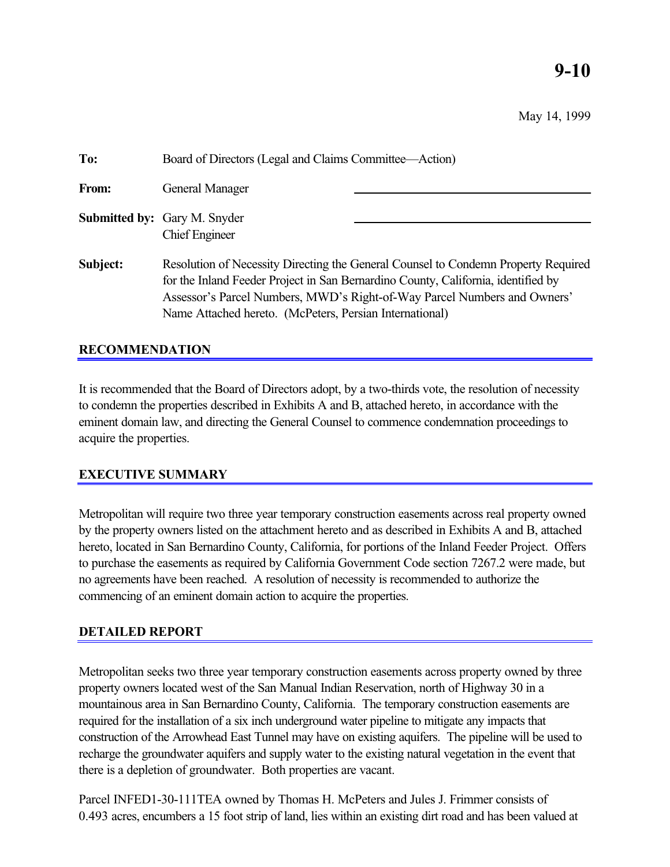# **9-10**

May 14, 1999

| To:      | Board of Directors (Legal and Claims Committee—Action)                                                                                                                                                                                                                                                         |  |
|----------|----------------------------------------------------------------------------------------------------------------------------------------------------------------------------------------------------------------------------------------------------------------------------------------------------------------|--|
| From:    | General Manager                                                                                                                                                                                                                                                                                                |  |
|          | <b>Submitted by:</b> Gary M. Snyder<br><b>Chief Engineer</b>                                                                                                                                                                                                                                                   |  |
| Subject: | Resolution of Necessity Directing the General Counsel to Condemn Property Required<br>for the Inland Feeder Project in San Bernardino County, California, identified by<br>Assessor's Parcel Numbers, MWD's Right-of-Way Parcel Numbers and Owners'<br>Name Attached hereto. (McPeters, Persian International) |  |

# **RECOMMENDATION**

It is recommended that the Board of Directors adopt, by a two-thirds vote, the resolution of necessity to condemn the properties described in Exhibits A and B, attached hereto, in accordance with the eminent domain law, and directing the General Counsel to commence condemnation proceedings to acquire the properties.

# **EXECUTIVE SUMMARY**

Metropolitan will require two three year temporary construction easements across real property owned by the property owners listed on the attachment hereto and as described in Exhibits A and B, attached hereto, located in San Bernardino County, California, for portions of the Inland Feeder Project. Offers to purchase the easements as required by California Government Code section 7267.2 were made, but no agreements have been reached. A resolution of necessity is recommended to authorize the commencing of an eminent domain action to acquire the properties.

## **DETAILED REPORT**

Metropolitan seeks two three year temporary construction easements across property owned by three property owners located west of the San Manual Indian Reservation, north of Highway 30 in a mountainous area in San Bernardino County, California. The temporary construction easements are required for the installation of a six inch underground water pipeline to mitigate any impacts that construction of the Arrowhead East Tunnel may have on existing aquifers. The pipeline will be used to recharge the groundwater aquifers and supply water to the existing natural vegetation in the event that there is a depletion of groundwater. Both properties are vacant.

Parcel INFED1-30-111TEA owned by Thomas H. McPeters and Jules J. Frimmer consists of 0.493 acres, encumbers a 15 foot strip of land, lies within an existing dirt road and has been valued at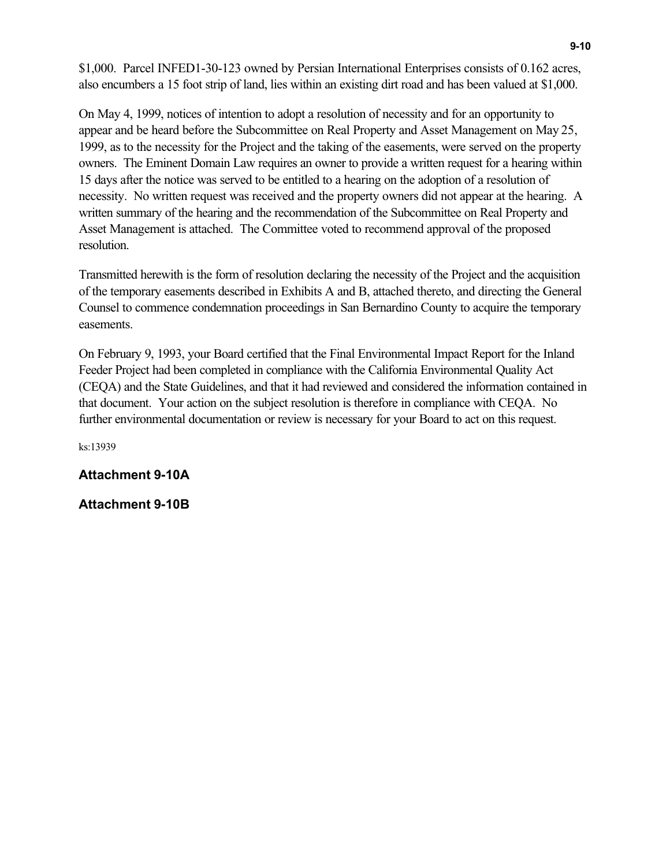\$1,000. Parcel INFED1-30-123 owned by Persian International Enterprises consists of 0.162 acres, also encumbers a 15 foot strip of land, lies within an existing dirt road and has been valued at \$1,000.

On May 4, 1999, notices of intention to adopt a resolution of necessity and for an opportunity to appear and be heard before the Subcommittee on Real Property and Asset Management on May 25, 1999, as to the necessity for the Project and the taking of the easements, were served on the property owners. The Eminent Domain Law requires an owner to provide a written request for a hearing within 15 days after the notice was served to be entitled to a hearing on the adoption of a resolution of necessity. No written request was received and the property owners did not appear at the hearing. A written summary of the hearing and the recommendation of the Subcommittee on Real Property and Asset Management is attached. The Committee voted to recommend approval of the proposed resolution.

Transmitted herewith is the form of resolution declaring the necessity of the Project and the acquisition of the temporary easements described in Exhibits A and B, attached thereto, and directing the General Counsel to commence condemnation proceedings in San Bernardino County to acquire the temporary easements.

On February 9, 1993, your Board certified that the Final Environmental Impact Report for the Inland Feeder Project had been completed in compliance with the California Environmental Quality Act (CEQA) and the State Guidelines, and that it had reviewed and considered the information contained in that document. Your action on the subject resolution is therefore in compliance with CEQA. No further environmental documentation or review is necessary for your Board to act on this request.

ks:13939

**Attachment 9-10A**

**Attachment 9-10B**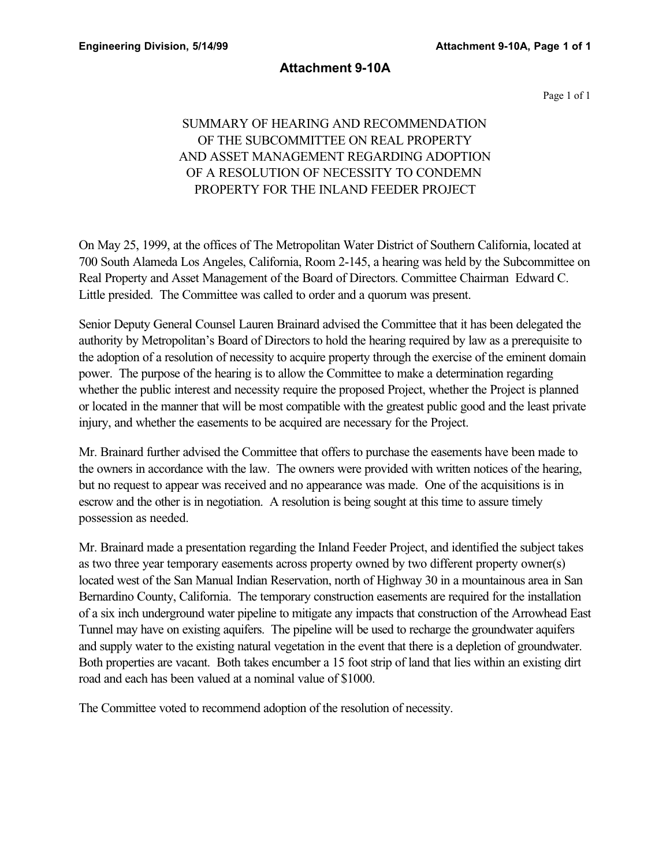## **Attachment 9-10A**

Page 1 of 1

# SUMMARY OF HEARING AND RECOMMENDATION OF THE SUBCOMMITTEE ON REAL PROPERTY AND ASSET MANAGEMENT REGARDING ADOPTION OF A RESOLUTION OF NECESSITY TO CONDEMN PROPERTY FOR THE INLAND FEEDER PROJECT

On May 25, 1999, at the offices of The Metropolitan Water District of Southern California, located at 700 South Alameda Los Angeles, California, Room 2-145, a hearing was held by the Subcommittee on Real Property and Asset Management of the Board of Directors. Committee Chairman Edward C. Little presided. The Committee was called to order and a quorum was present.

Senior Deputy General Counsel Lauren Brainard advised the Committee that it has been delegated the authority by Metropolitan's Board of Directors to hold the hearing required by law as a prerequisite to the adoption of a resolution of necessity to acquire property through the exercise of the eminent domain power. The purpose of the hearing is to allow the Committee to make a determination regarding whether the public interest and necessity require the proposed Project, whether the Project is planned or located in the manner that will be most compatible with the greatest public good and the least private injury, and whether the easements to be acquired are necessary for the Project.

Mr. Brainard further advised the Committee that offers to purchase the easements have been made to the owners in accordance with the law. The owners were provided with written notices of the hearing, but no request to appear was received and no appearance was made. One of the acquisitions is in escrow and the other is in negotiation. A resolution is being sought at this time to assure timely possession as needed.

Mr. Brainard made a presentation regarding the Inland Feeder Project, and identified the subject takes as two three year temporary easements across property owned by two different property owner(s) located west of the San Manual Indian Reservation, north of Highway 30 in a mountainous area in San Bernardino County, California. The temporary construction easements are required for the installation of a six inch underground water pipeline to mitigate any impacts that construction of the Arrowhead East Tunnel may have on existing aquifers. The pipeline will be used to recharge the groundwater aquifers and supply water to the existing natural vegetation in the event that there is a depletion of groundwater. Both properties are vacant. Both takes encumber a 15 foot strip of land that lies within an existing dirt road and each has been valued at a nominal value of \$1000.

The Committee voted to recommend adoption of the resolution of necessity.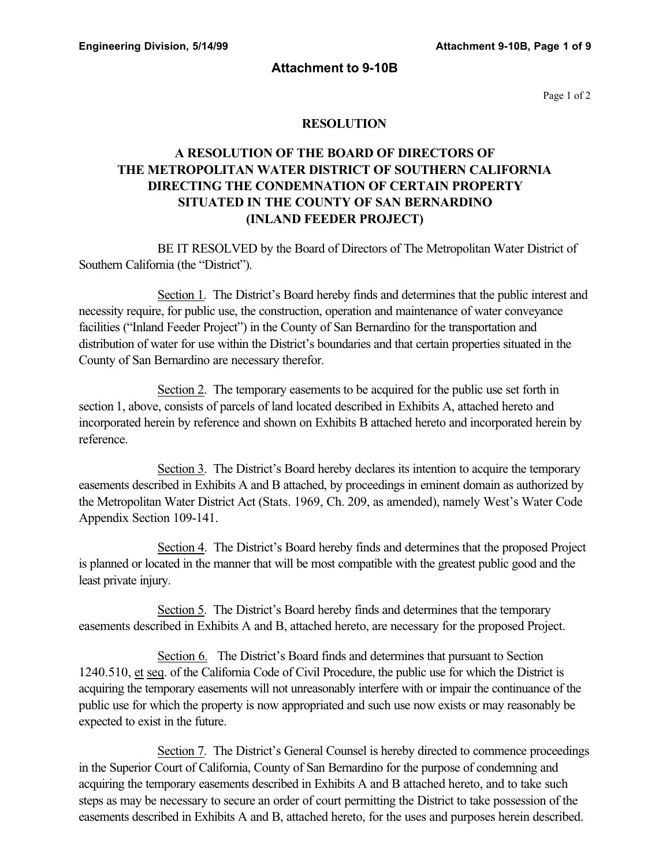### **Attachment to 9-10B**

Page 1 of 2

## **RESOLUTION**

# **A RESOLUTION OF THE BOARD OF DIRECTORS OF THE METROPOLITAN WATER DISTRICT OF SOUTHERN CALIFORNIA DIRECTING THE CONDEMNATION OF CERTAIN PROPERTY SITUATED IN THE COUNTY OF SAN BERNARDINO (INLAND FEEDER PROJECT)**

BE IT RESOLVED by the Board of Directors of The Metropolitan Water District of Southern California (the "District").

Section 1. The District's Board hereby finds and determines that the public interest and necessity require, for public use, the construction, operation and maintenance of water conveyance facilities ("Inland Feeder Project") in the County of San Bernardino for the transportation and distribution of water for use within the District's boundaries and that certain properties situated in the County of San Bernardino are necessary therefor.

Section 2. The temporary easements to be acquired for the public use set forth in section 1, above, consists of parcels of land located described in Exhibits A, attached hereto and incorporated herein by reference and shown on Exhibits B attached hereto and incorporated herein by reference.

Section 3. The District's Board hereby declares its intention to acquire the temporary easements described in Exhibits A and B attached, by proceedings in eminent domain as authorized by the Metropolitan Water District Act (Stats. 1969, Ch. 209, as amended), namely West's Water Code Appendix Section 109-141.

Section 4. The District's Board hereby finds and determines that the proposed Project is planned or located in the manner that will be most compatible with the greatest public good and the least private injury.

Section 5. The District's Board hereby finds and determines that the temporary easements described in Exhibits A and B, attached hereto, are necessary for the proposed Project.

Section 6. The District's Board finds and determines that pursuant to Section 1240.510, et seq. of the California Code of Civil Procedure, the public use for which the District is acquiring the temporary easements will not unreasonably interfere with or impair the continuance of the public use for which the property is now appropriated and such use now exists or may reasonably be expected to exist in the future.

Section 7. The District's General Counsel is hereby directed to commence proceedings in the Superior Court of California, County of San Bernardino for the purpose of condemning and acquiring the temporary easements described in Exhibits A and B attached hereto, and to take such steps as may be necessary to secure an order of court permitting the District to take possession of the easements described in Exhibits A and B, attached hereto, for the uses and purposes herein described.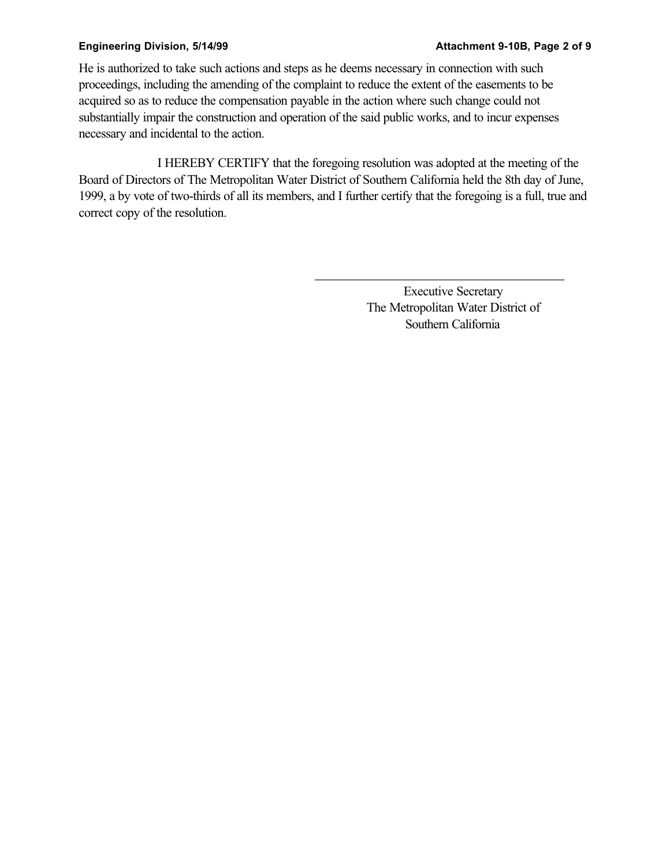He is authorized to take such actions and steps as he deems necessary in connection with such proceedings, including the amending of the complaint to reduce the extent of the easements to be acquired so as to reduce the compensation payable in the action where such change could not substantially impair the construction and operation of the said public works, and to incur expenses necessary and incidental to the action.

I HEREBY CERTIFY that the foregoing resolution was adopted at the meeting of the Board of Directors of The Metropolitan Water District of Southern California held the 8th day of June, 1999, a by vote of two-thirds of all its members, and I further certify that the foregoing is a full, true and correct copy of the resolution.

> Executive Secretary The Metropolitan Water District of Southern California

 $\overline{\phantom{a}}$  , and the set of the set of the set of the set of the set of the set of the set of the set of the set of the set of the set of the set of the set of the set of the set of the set of the set of the set of the s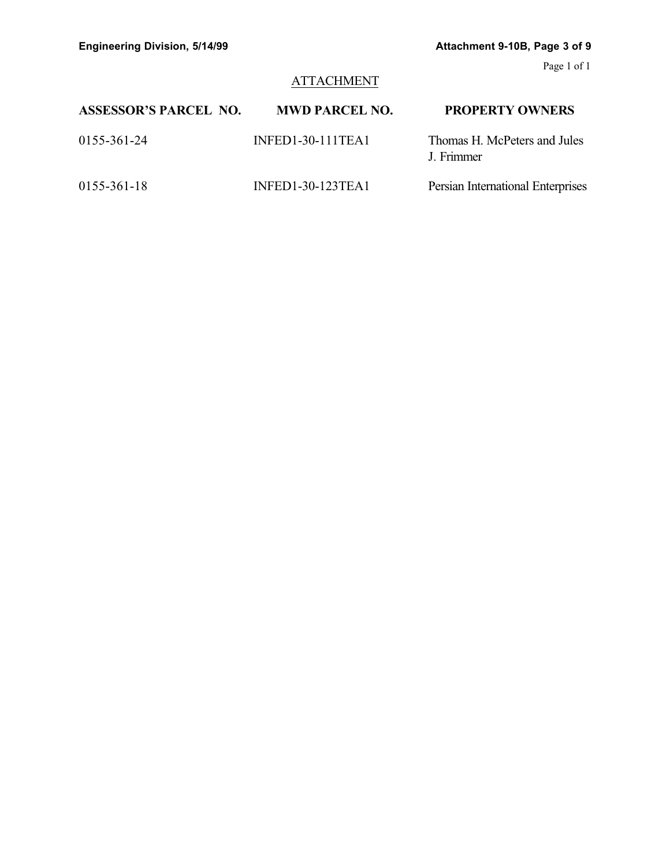# **ATTACHMENT**

| <b>ASSESSOR'S PARCEL NO.</b> | <b>MWD PARCEL NO.</b> | <b>PROPERTY OWNERS</b>                     |
|------------------------------|-----------------------|--------------------------------------------|
| 0155-361-24                  | $INFED1-30-111TEA1$   | Thomas H. McPeters and Jules<br>J. Frimmer |
| 0155-361-18                  | INFED1-30-123TEA1     | Persian International Enterprises          |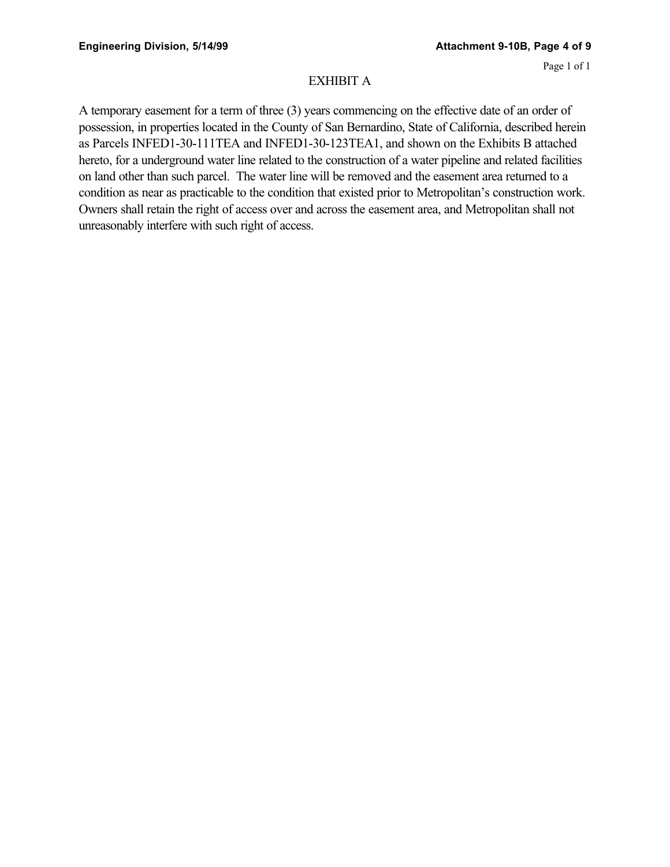## EXHIBIT A

A temporary easement for a term of three (3) years commencing on the effective date of an order of possession, in properties located in the County of San Bernardino, State of California, described herein as Parcels INFED1-30-111TEA and INFED1-30-123TEA1, and shown on the Exhibits B attached hereto, for a underground water line related to the construction of a water pipeline and related facilities on land other than such parcel. The water line will be removed and the easement area returned to a condition as near as practicable to the condition that existed prior to Metropolitan's construction work. Owners shall retain the right of access over and across the easement area, and Metropolitan shall not unreasonably interfere with such right of access.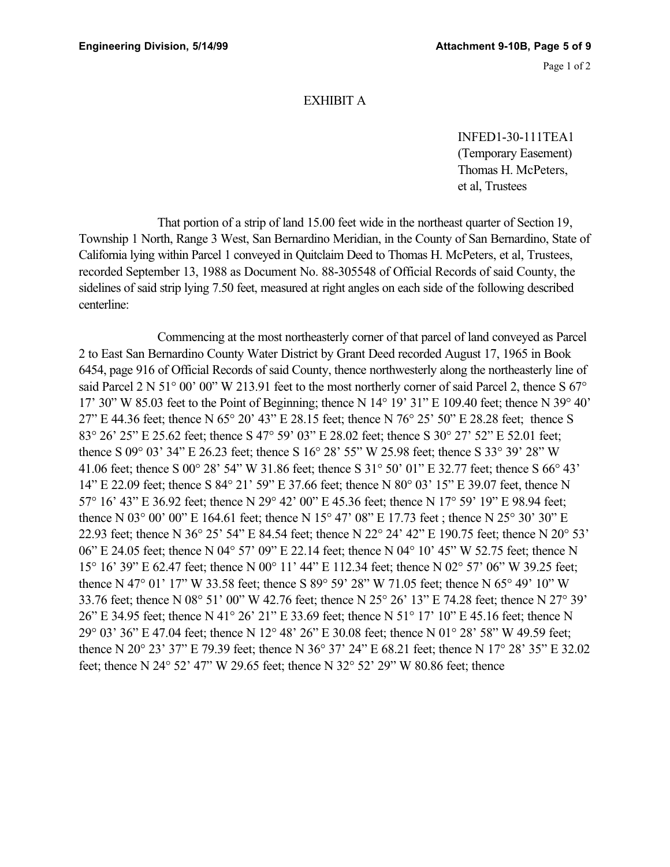## EXHIBIT A

INFED1-30-111TEA1 (Temporary Easement) Thomas H. McPeters, et al, Trustees

That portion of a strip of land 15.00 feet wide in the northeast quarter of Section 19, Township 1 North, Range 3 West, San Bernardino Meridian, in the County of San Bernardino, State of California lying within Parcel 1 conveyed in Quitclaim Deed to Thomas H. McPeters, et al, Trustees, recorded September 13, 1988 as Document No. 88-305548 of Official Records of said County, the sidelines of said strip lying 7.50 feet, measured at right angles on each side of the following described centerline:

Commencing at the most northeasterly corner of that parcel of land conveyed as Parcel 2 to East San Bernardino County Water District by Grant Deed recorded August 17, 1965 in Book 6454, page 916 of Official Records of said County, thence northwesterly along the northeasterly line of said Parcel 2 N 51° 00' 00" W 213.91 feet to the most northerly corner of said Parcel 2, thence S 67° 17' 30" W 85.03 feet to the Point of Beginning; thence N 14° 19' 31" E 109.40 feet; thence N 39° 40' 27" E 44.36 feet; thence N 65° 20' 43" E 28.15 feet; thence N 76° 25' 50" E 28.28 feet; thence S 83° 26' 25" E 25.62 feet; thence S 47° 59' 03" E 28.02 feet; thence S 30° 27' 52" E 52.01 feet; thence S 09° 03' 34" E 26.23 feet; thence S 16° 28' 55" W 25.98 feet; thence S 33° 39' 28" W 41.06 feet; thence S 00° 28' 54" W 31.86 feet; thence S 31° 50' 01" E 32.77 feet; thence S 66° 43' 14" E 22.09 feet; thence S 84° 21' 59" E 37.66 feet; thence N 80° 03' 15" E 39.07 feet, thence N 57° 16' 43" E 36.92 feet; thence N 29° 42' 00" E 45.36 feet; thence N 17° 59' 19" E 98.94 feet; thence N 03° 00' 00" E 164.61 feet; thence N 15° 47' 08" E 17.73 feet ; thence N 25° 30' 30" E 22.93 feet; thence N 36° 25' 54" E 84.54 feet; thence N 22° 24' 42" E 190.75 feet; thence N 20° 53' 06" E 24.05 feet; thence N 04° 57' 09" E 22.14 feet; thence N 04° 10' 45" W 52.75 feet; thence N 15° 16' 39" E 62.47 feet; thence N 00° 11' 44" E 112.34 feet; thence N 02° 57' 06" W 39.25 feet; thence N 47° 01' 17" W 33.58 feet; thence S 89° 59' 28" W 71.05 feet; thence N 65° 49' 10" W 33.76 feet; thence N 08° 51' 00" W 42.76 feet; thence N 25° 26' 13" E 74.28 feet; thence N 27° 39' 26" E 34.95 feet; thence N 41° 26' 21" E 33.69 feet; thence N 51° 17' 10" E 45.16 feet; thence N 29° 03' 36" E 47.04 feet; thence N 12° 48' 26" E 30.08 feet; thence N 01° 28' 58" W 49.59 feet; thence N 20° 23' 37" E 79.39 feet; thence N 36° 37' 24" E 68.21 feet; thence N 17° 28' 35" E 32.02 feet; thence N 24° 52' 47" W 29.65 feet; thence N 32° 52' 29" W 80.86 feet; thence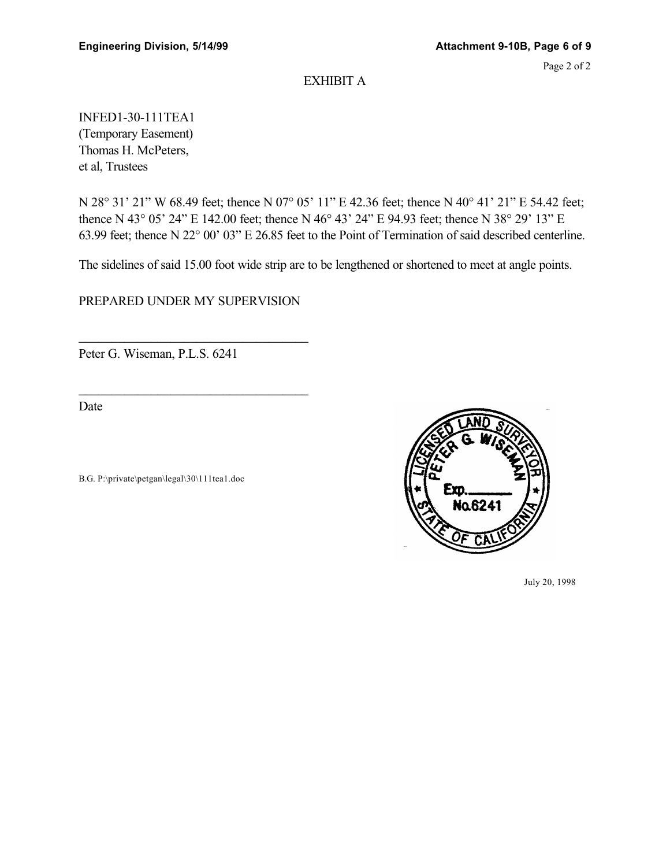## EXHIBIT A

INFED1-30-111TEA1 (Temporary Easement) Thomas H. McPeters, et al, Trustees

N 28° 31' 21" W 68.49 feet; thence N 07° 05' 11" E 42.36 feet; thence N 40° 41' 21" E 54.42 feet; thence N 43° 05' 24" E 142.00 feet; thence N 46° 43' 24" E 94.93 feet; thence N 38° 29' 13" E 63.99 feet; thence N 22° 00' 03" E 26.85 feet to the Point of Termination of said described centerline.

The sidelines of said 15.00 foot wide strip are to be lengthened or shortened to meet at angle points.

PREPARED UNDER MY SUPERVISION

 $\overline{\phantom{a}}$  , and the set of the set of the set of the set of the set of the set of the set of the set of the set of the set of the set of the set of the set of the set of the set of the set of the set of the set of the s

 $\overline{\phantom{a}}$  , and the set of the set of the set of the set of the set of the set of the set of the set of the set of the set of the set of the set of the set of the set of the set of the set of the set of the set of the s

Peter G. Wiseman, P.L.S. 6241

Date

B.G. P:\private\petgan\legal\30\111tea1.doc



July 20, 1998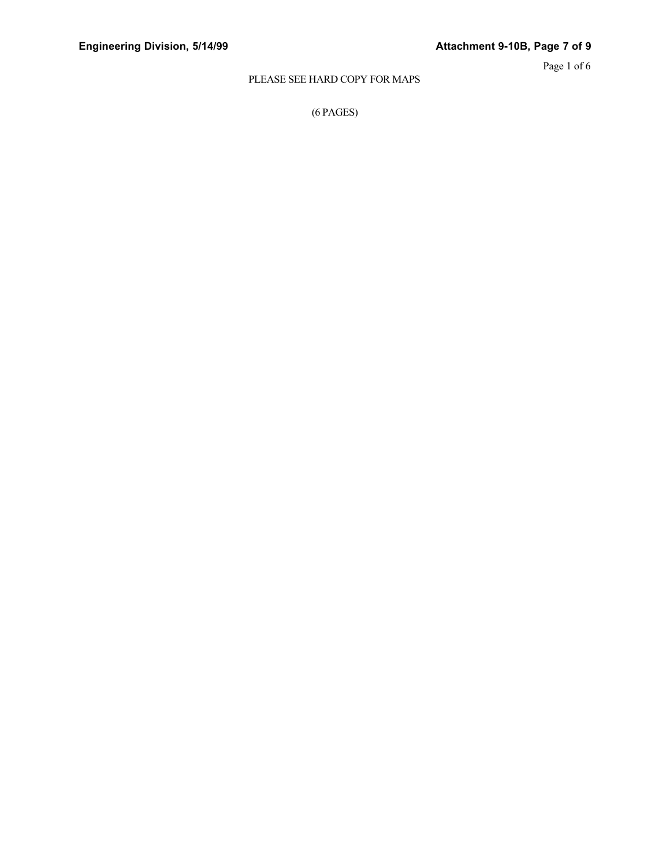## PLEASE SEE HARD COPY FOR MAPS

(6 PAGES)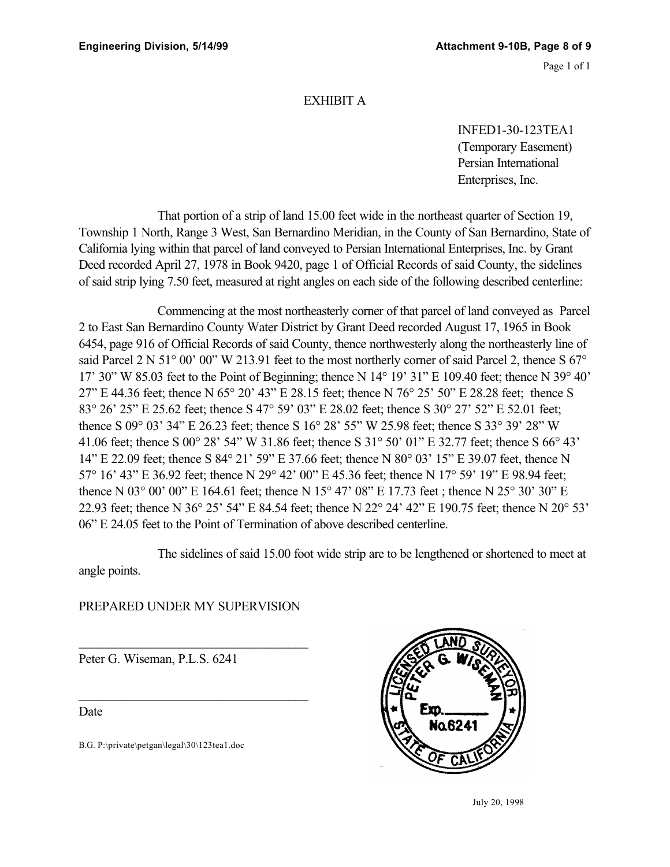## EXHIBIT A

INFED1-30-123TEA1 (Temporary Easement) Persian International Enterprises, Inc.

That portion of a strip of land 15.00 feet wide in the northeast quarter of Section 19, Township 1 North, Range 3 West, San Bernardino Meridian, in the County of San Bernardino, State of California lying within that parcel of land conveyed to Persian International Enterprises, Inc. by Grant Deed recorded April 27, 1978 in Book 9420, page 1 of Official Records of said County, the sidelines of said strip lying 7.50 feet, measured at right angles on each side of the following described centerline:

Commencing at the most northeasterly corner of that parcel of land conveyed as Parcel 2 to East San Bernardino County Water District by Grant Deed recorded August 17, 1965 in Book 6454, page 916 of Official Records of said County, thence northwesterly along the northeasterly line of said Parcel 2 N 51° 00' 00" W 213.91 feet to the most northerly corner of said Parcel 2, thence S 67° 17' 30" W 85.03 feet to the Point of Beginning; thence N 14° 19' 31" E 109.40 feet; thence N 39° 40' 27" E 44.36 feet; thence N 65° 20' 43" E 28.15 feet; thence N 76° 25' 50" E 28.28 feet; thence S 83° 26' 25" E 25.62 feet; thence S 47° 59' 03" E 28.02 feet; thence S 30° 27' 52" E 52.01 feet; thence S 09° 03' 34" E 26.23 feet; thence S 16° 28' 55" W 25.98 feet; thence S 33° 39' 28" W 41.06 feet; thence S 00° 28' 54" W 31.86 feet; thence S 31° 50' 01" E 32.77 feet; thence S 66° 43' 14" E 22.09 feet; thence S 84° 21' 59" E 37.66 feet; thence N 80° 03' 15" E 39.07 feet, thence N 57° 16' 43" E 36.92 feet; thence N 29° 42' 00" E 45.36 feet; thence N 17° 59' 19" E 98.94 feet; thence N 03° 00' 00" E 164.61 feet; thence N 15° 47' 08" E 17.73 feet ; thence N 25° 30' 30" E 22.93 feet; thence N 36° 25' 54" E 84.54 feet; thence N 22° 24' 42" E 190.75 feet; thence N 20° 53' 06" E 24.05 feet to the Point of Termination of above described centerline.

The sidelines of said 15.00 foot wide strip are to be lengthened or shortened to meet at angle points.

# PREPARED UNDER MY SUPERVISION

 $\overline{\phantom{a}}$  , and the set of the set of the set of the set of the set of the set of the set of the set of the set of the set of the set of the set of the set of the set of the set of the set of the set of the set of the s

 $\overline{\phantom{a}}$  , and the set of the set of the set of the set of the set of the set of the set of the set of the set of the set of the set of the set of the set of the set of the set of the set of the set of the set of the s

Peter G. Wiseman, P.L.S. 6241

Date

B.G. P:\private\petgan\legal\30\123tea1.doc



July 20, 1998